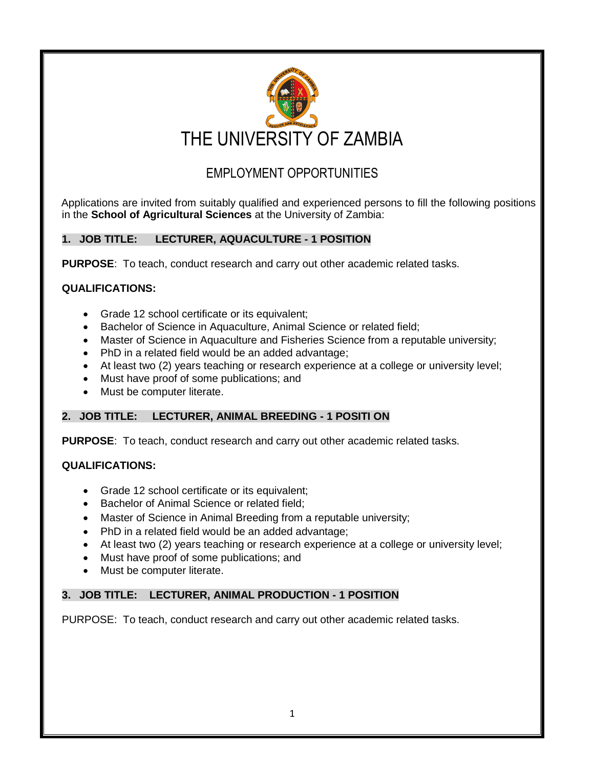

# EMPLOYMENT OPPORTUNITIES

 Applications are invited from suitably qualified and experienced persons to fill the following positions in the **School of Agricultural Sciences** at the University of Zambia:

## **1. JOB TITLE: LECTURER, AQUACULTURE - 1 POSITION**

**PURPOSE**: To teach, conduct research and carry out other academic related tasks.

## **QUALIFICATIONS:**

- Grade 12 school certificate or its equivalent;
- Bachelor of Science in Aquaculture, Animal Science or related field;
- Master of Science in Aquaculture and Fisheries Science from a reputable university;
- PhD in a related field would be an added advantage;
- At least two (2) years teaching or research experience at a college or university level;
- Must have proof of some publications; and
- Must be computer literate.

#### **2. JOB TITLE: LECTURER, ANIMAL BREEDING - 1 POSITI ON**

**PURPOSE**: To teach, conduct research and carry out other academic related tasks.

#### **QUALIFICATIONS:**

- Grade 12 school certificate or its equivalent;
- Bachelor of Animal Science or related field;
- Master of Science in Animal Breeding from a reputable university;
- PhD in a related field would be an added advantage;
- At least two (2) years teaching or research experience at a college or university level;
- Must have proof of some publications; and
- Must be computer literate.

## **3. JOB TITLE: LECTURER, ANIMAL PRODUCTION - 1 POSITION**

PURPOSE: To teach, conduct research and carry out other academic related tasks.